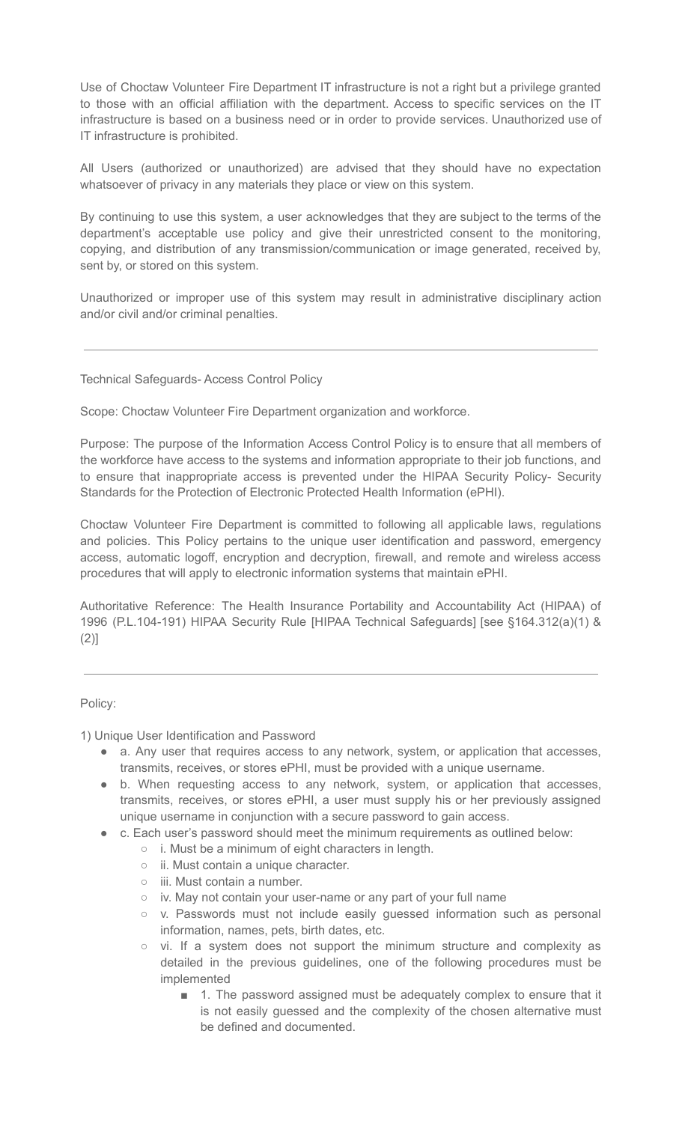Use of Choctaw Volunteer Fire Department IT infrastructure is not a right but a privilege granted to those with an official affiliation with the department. Access to specific services on the IT infrastructure is based on a business need or in order to provide services. Unauthorized use of IT infrastructure is prohibited.

All Users (authorized or unauthorized) are advised that they should have no expectation whatsoever of privacy in any materials they place or view on this system.

By continuing to use this system, a user acknowledges that they are subject to the terms of the department's acceptable use policy and give their unrestricted consent to the monitoring, copying, and distribution of any transmission/communication or image generated, received by, sent by, or stored on this system.

Unauthorized or improper use of this system may result in administrative disciplinary action and/or civil and/or criminal penalties.

Technical Safeguards- Access Control Policy

Scope: Choctaw Volunteer Fire Department organization and workforce.

Purpose: The purpose of the Information Access Control Policy is to ensure that all members of the workforce have access to the systems and information appropriate to their job functions, and to ensure that inappropriate access is prevented under the HIPAA Security Policy- Security Standards for the Protection of Electronic Protected Health Information (ePHI).

Choctaw Volunteer Fire Department is committed to following all applicable laws, regulations and policies. This Policy pertains to the unique user identification and password, emergency access, automatic logoff, encryption and decryption, firewall, and remote and wireless access procedures that will apply to electronic information systems that maintain ePHI.

Authoritative Reference: The Health Insurance Portability and Accountability Act (HIPAA) of 1996 (P.L.104-191) HIPAA Security Rule [HIPAA Technical Safeguards] [see §164.312(a)(1) & (2)]

## Policy:

1) Unique User Identification and Password

- a. Any user that requires access to any network, system, or application that accesses, transmits, receives, or stores ePHI, must be provided with a unique username.
- b. When requesting access to any network, system, or application that accesses, transmits, receives, or stores ePHI, a user must supply his or her previously assigned unique username in conjunction with a secure password to gain access.
- c. Each user's password should meet the minimum requirements as outlined below:
	- i. Must be a minimum of eight characters in length.
	- ii. Must contain a unique character.
	- iii. Must contain a number.
	- iv. May not contain your user-name or any part of your full name
	- v. Passwords must not include easily guessed information such as personal information, names, pets, birth dates, etc.
	- vi. If a system does not support the minimum structure and complexity as detailed in the previous guidelines, one of the following procedures must be implemented
		- 1. The password assigned must be adequately complex to ensure that it is not easily guessed and the complexity of the chosen alternative must be defined and documented.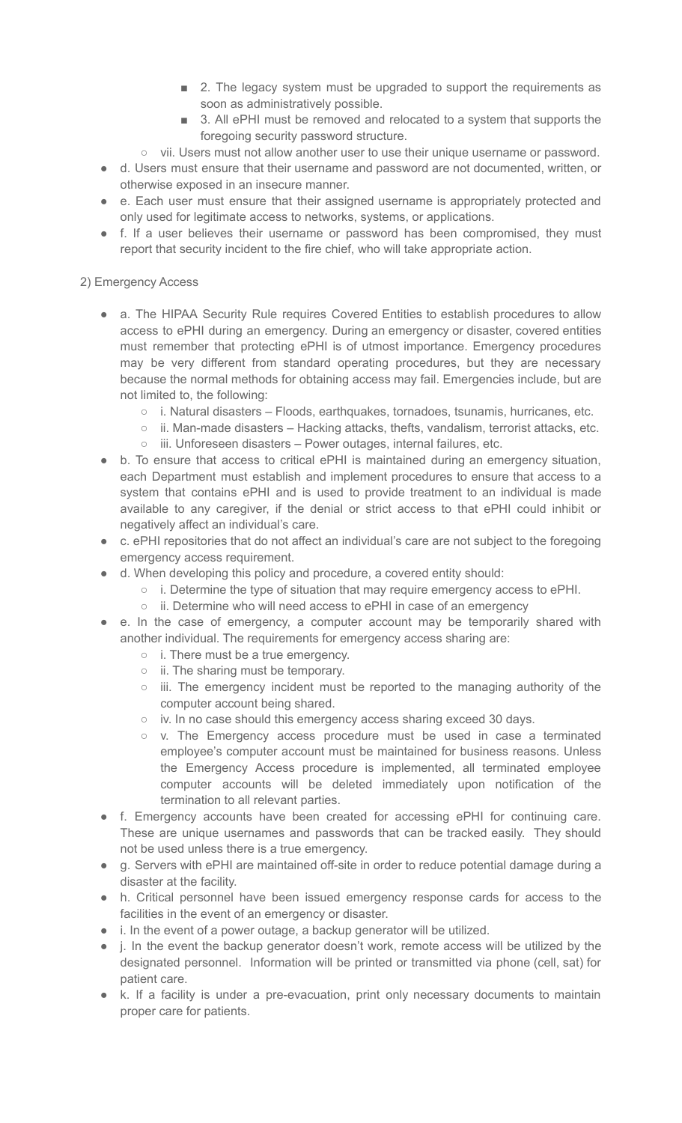- 2. The legacy system must be upgraded to support the requirements as soon as administratively possible.
- 3. All ePHI must be removed and relocated to a system that supports the foregoing security password structure.
- vii. Users must not allow another user to use their unique username or password.
- d. Users must ensure that their username and password are not documented, written, or otherwise exposed in an insecure manner.
- e. Each user must ensure that their assigned username is appropriately protected and only used for legitimate access to networks, systems, or applications.
- f. If a user believes their username or password has been compromised, they must report that security incident to the fire chief, who will take appropriate action.

## 2) Emergency Access

- a. The HIPAA Security Rule requires Covered Entities to establish procedures to allow access to ePHI during an emergency. During an emergency or disaster, covered entities must remember that protecting ePHI is of utmost importance. Emergency procedures may be very different from standard operating procedures, but they are necessary because the normal methods for obtaining access may fail. Emergencies include, but are not limited to, the following:
	- $\circ$  i. Natural disasters Floods, earthquakes, tornadoes, tsunamis, hurricanes, etc.
	- $\circ$  ii. Man-made disasters Hacking attacks, thefts, vandalism, terrorist attacks, etc.
	- iii. Unforeseen disasters Power outages, internal failures, etc.
- b. To ensure that access to critical ePHI is maintained during an emergency situation, each Department must establish and implement procedures to ensure that access to a system that contains ePHI and is used to provide treatment to an individual is made available to any caregiver, if the denial or strict access to that ePHI could inhibit or negatively affect an individual's care.
- c. ePHI repositories that do not affect an individual's care are not subject to the foregoing emergency access requirement.
- d. When developing this policy and procedure, a covered entity should:
	- i. Determine the type of situation that may require emergency access to ePHI.
	- ii. Determine who will need access to ePHI in case of an emergency
- e. In the case of emergency, a computer account may be temporarily shared with another individual. The requirements for emergency access sharing are:
	- i. There must be a true emergency.
	- ii. The sharing must be temporary.
	- iii. The emergency incident must be reported to the managing authority of the computer account being shared.
	- iv. In no case should this emergency access sharing exceed 30 days.
	- v. The Emergency access procedure must be used in case a terminated employee's computer account must be maintained for business reasons. Unless the Emergency Access procedure is implemented, all terminated employee computer accounts will be deleted immediately upon notification of the termination to all relevant parties.
- f. Emergency accounts have been created for accessing ePHI for continuing care. These are unique usernames and passwords that can be tracked easily. They should not be used unless there is a true emergency.
- g. Servers with ePHI are maintained off-site in order to reduce potential damage during a disaster at the facility.
- h. Critical personnel have been issued emergency response cards for access to the facilities in the event of an emergency or disaster.
- i. In the event of a power outage, a backup generator will be utilized.
- j. In the event the backup generator doesn't work, remote access will be utilized by the designated personnel. Information will be printed or transmitted via phone (cell, sat) for patient care.
- k. If a facility is under a pre-evacuation, print only necessary documents to maintain proper care for patients.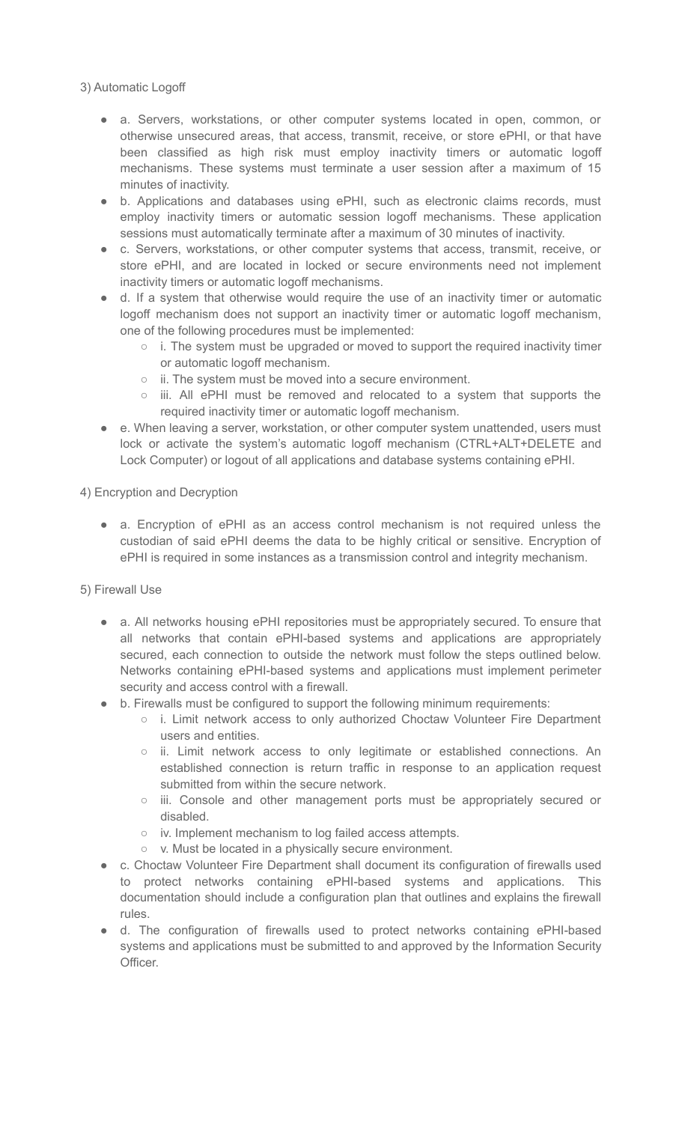3) Automatic Logoff

- a. Servers, workstations, or other computer systems located in open, common, or otherwise unsecured areas, that access, transmit, receive, or store ePHI, or that have been classified as high risk must employ inactivity timers or automatic logoff mechanisms. These systems must terminate a user session after a maximum of 15 minutes of inactivity.
- b. Applications and databases using ePHI, such as electronic claims records, must employ inactivity timers or automatic session logoff mechanisms. These application sessions must automatically terminate after a maximum of 30 minutes of inactivity.
- c. Servers, workstations, or other computer systems that access, transmit, receive, or store ePHI, and are located in locked or secure environments need not implement inactivity timers or automatic logoff mechanisms.
- d. If a system that otherwise would require the use of an inactivity timer or automatic logoff mechanism does not support an inactivity timer or automatic logoff mechanism, one of the following procedures must be implemented:
	- i. The system must be upgraded or moved to support the required inactivity timer or automatic logoff mechanism.
	- ii. The system must be moved into a secure environment.
	- iii. All ePHI must be removed and relocated to a system that supports the required inactivity timer or automatic logoff mechanism.
- e. When leaving a server, workstation, or other computer system unattended, users must lock or activate the system's automatic logoff mechanism (CTRL+ALT+DELETE and Lock Computer) or logout of all applications and database systems containing ePHI.

4) Encryption and Decryption

● a. Encryption of ePHI as an access control mechanism is not required unless the custodian of said ePHI deems the data to be highly critical or sensitive. Encryption of ePHI is required in some instances as a transmission control and integrity mechanism.

5) Firewall Use

- a. All networks housing ePHI repositories must be appropriately secured. To ensure that all networks that contain ePHI-based systems and applications are appropriately secured, each connection to outside the network must follow the steps outlined below. Networks containing ePHI-based systems and applications must implement perimeter security and access control with a firewall.
- b. Firewalls must be configured to support the following minimum requirements:
	- i. Limit network access to only authorized Choctaw Volunteer Fire Department users and entities.
	- ii. Limit network access to only legitimate or established connections. An established connection is return traffic in response to an application request submitted from within the secure network.
	- iii. Console and other management ports must be appropriately secured or disabled.
	- iv. Implement mechanism to log failed access attempts.
	- v. Must be located in a physically secure environment.
- c. Choctaw Volunteer Fire Department shall document its configuration of firewalls used to protect networks containing ePHI-based systems and applications. This documentation should include a configuration plan that outlines and explains the firewall rules.
- d. The configuration of firewalls used to protect networks containing ePHI-based systems and applications must be submitted to and approved by the Information Security Officer.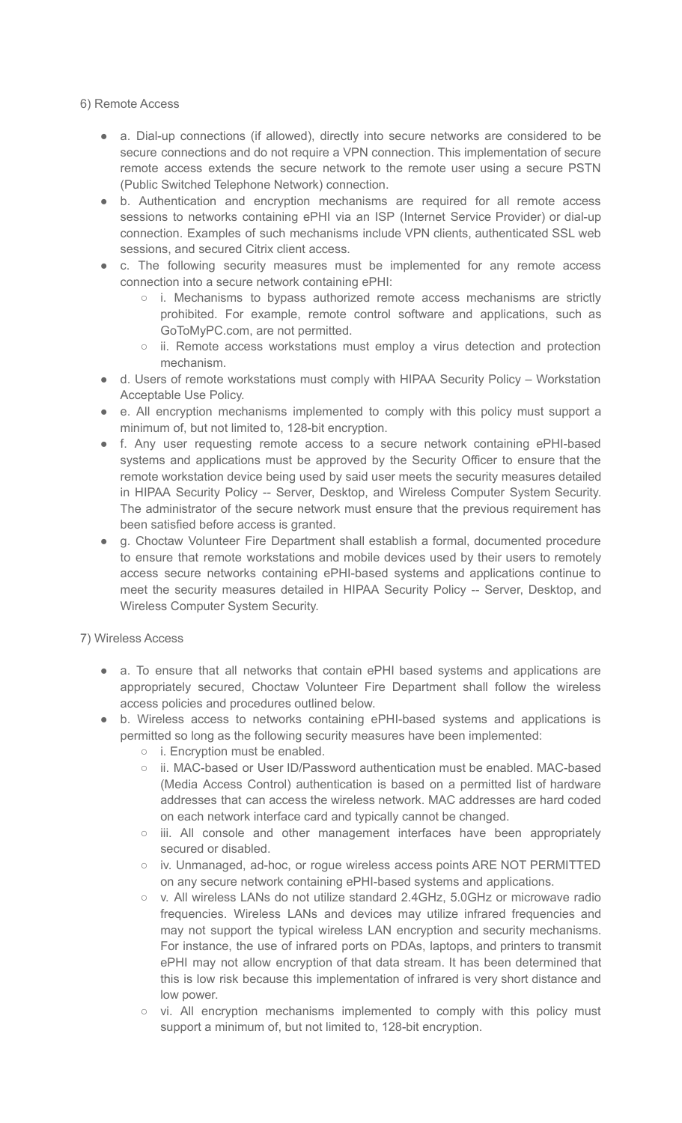6) Remote Access

- a. Dial-up connections (if allowed), directly into secure networks are considered to be secure connections and do not require a VPN connection. This implementation of secure remote access extends the secure network to the remote user using a secure PSTN (Public Switched Telephone Network) connection.
- b. Authentication and encryption mechanisms are required for all remote access sessions to networks containing ePHI via an ISP (Internet Service Provider) or dial-up connection. Examples of such mechanisms include VPN clients, authenticated SSL web sessions, and secured Citrix client access.
- c. The following security measures must be implemented for any remote access connection into a secure network containing ePHI:
	- i. Mechanisms to bypass authorized remote access mechanisms are strictly prohibited. For example, remote control software and applications, such as GoToMyPC.com, are not permitted.
	- ii. Remote access workstations must employ a virus detection and protection mechanism.
- d. Users of remote workstations must comply with HIPAA Security Policy Workstation Acceptable Use Policy.
- e. All encryption mechanisms implemented to comply with this policy must support a minimum of, but not limited to, 128-bit encryption.
- f. Any user requesting remote access to a secure network containing ePHI-based systems and applications must be approved by the Security Officer to ensure that the remote workstation device being used by said user meets the security measures detailed in HIPAA Security Policy -- Server, Desktop, and Wireless Computer System Security. The administrator of the secure network must ensure that the previous requirement has been satisfied before access is granted.
- g. Choctaw Volunteer Fire Department shall establish a formal, documented procedure to ensure that remote workstations and mobile devices used by their users to remotely access secure networks containing ePHI-based systems and applications continue to meet the security measures detailed in HIPAA Security Policy -- Server, Desktop, and Wireless Computer System Security.

7) Wireless Access

- a. To ensure that all networks that contain ePHI based systems and applications are appropriately secured, Choctaw Volunteer Fire Department shall follow the wireless access policies and procedures outlined below.
- b. Wireless access to networks containing ePHI-based systems and applications is permitted so long as the following security measures have been implemented:
	- i. Encryption must be enabled.
	- ii. MAC-based or User ID/Password authentication must be enabled. MAC-based (Media Access Control) authentication is based on a permitted list of hardware addresses that can access the wireless network. MAC addresses are hard coded on each network interface card and typically cannot be changed.
	- iii. All console and other management interfaces have been appropriately secured or disabled.
	- iv. Unmanaged, ad-hoc, or rogue wireless access points ARE NOT PERMITTED on any secure network containing ePHI-based systems and applications.
	- v. All wireless LANs do not utilize standard 2.4GHz, 5.0GHz or microwave radio frequencies. Wireless LANs and devices may utilize infrared frequencies and may not support the typical wireless LAN encryption and security mechanisms. For instance, the use of infrared ports on PDAs, laptops, and printers to transmit ePHI may not allow encryption of that data stream. It has been determined that this is low risk because this implementation of infrared is very short distance and low power.
	- vi. All encryption mechanisms implemented to comply with this policy must support a minimum of, but not limited to, 128-bit encryption.